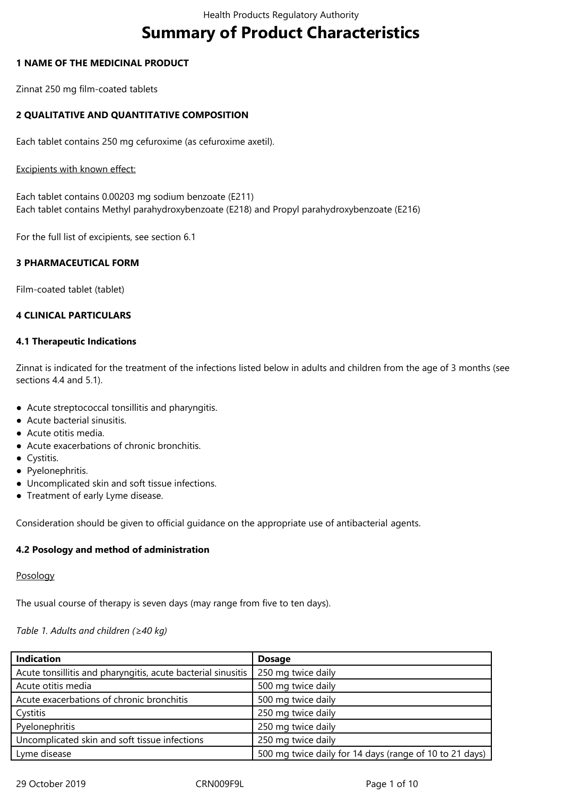# **Summary of Product Characteristics**

#### **1 NAME OF THE MEDICINAL PRODUCT**

Zinnat 250 mg film-coated tablets

## **2 QUALITATIVE AND QUANTITATIVE COMPOSITION**

Each tablet contains 250 mg cefuroxime (as cefuroxime axetil).

#### Excipients with known effect:

Each tablet contains 0.00203 mg sodium benzoate (E211) Each tablet contains Methyl parahydroxybenzoate (E218) and Propyl parahydroxybenzoate (E216)

For the full list of excipients, see section 6.1

#### **3 PHARMACEUTICAL FORM**

Film-coated tablet (tablet)

#### **4 CLINICAL PARTICULARS**

#### **4.1 Therapeutic Indications**

Zinnat is indicated for the treatment of the infections listed below in adults and children from the age of 3 months (see sections 4.4 and 5.1).

- Acute streptococcal tonsillitis and pharyngitis.
- Acute bacterial sinusitis.
- Acute otitis media.
- Acute exacerbations of chronic bronchitis.
- Cystitis.
- Pyelonephritis.
- Uncomplicated skin and soft tissue infections.
- Treatment of early Lyme disease.

Consideration should be given to official guidance on the appropriate use of antibacterial agents.

#### **4.2 Posology and method of administration**

## Posology

The usual course of therapy is seven days (may range from five to ten days).

#### *Table 1. Adults and children (≥40 kg)*

| <b>Indication</b>                                            | <b>Dosage</b>                                           |
|--------------------------------------------------------------|---------------------------------------------------------|
| Acute tonsillitis and pharyngitis, acute bacterial sinusitis | 250 mg twice daily                                      |
| Acute otitis media                                           | 500 mg twice daily                                      |
| Acute exacerbations of chronic bronchitis                    | 500 mg twice daily                                      |
| Cystitis                                                     | 250 mg twice daily                                      |
| Pyelonephritis                                               | 250 mg twice daily                                      |
| Uncomplicated skin and soft tissue infections                | 250 mg twice daily                                      |
| Lyme disease                                                 | 500 mg twice daily for 14 days (range of 10 to 21 days) |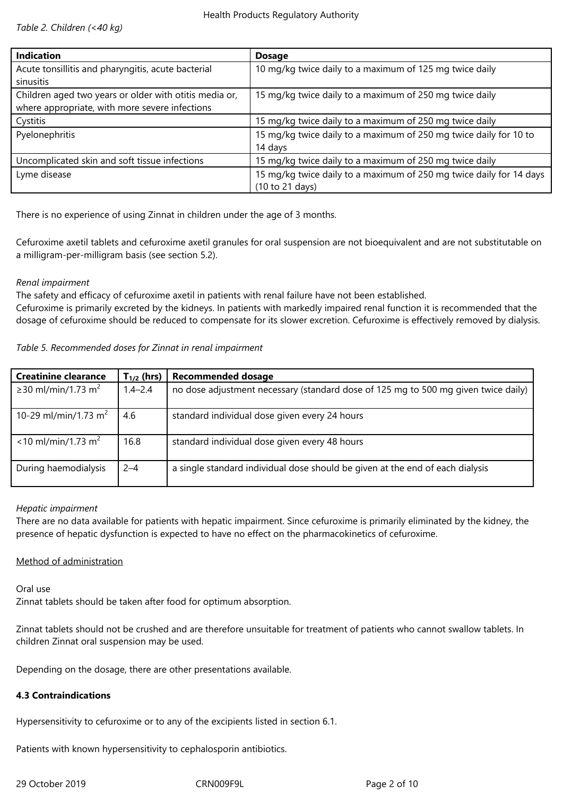*Table 2. Children (<40 kg)*

| <b>Indication</b>                                      | <b>Dosage</b>                                                       |
|--------------------------------------------------------|---------------------------------------------------------------------|
| Acute tonsillitis and pharyngitis, acute bacterial     | 10 mg/kg twice daily to a maximum of 125 mg twice daily             |
| sinusitis                                              |                                                                     |
| Children aged two years or older with otitis media or, | 15 mg/kg twice daily to a maximum of 250 mg twice daily             |
| where appropriate, with more severe infections         |                                                                     |
| Cystitis                                               | 15 mg/kg twice daily to a maximum of 250 mg twice daily             |
| Pyelonephritis                                         | 15 mg/kg twice daily to a maximum of 250 mg twice daily for 10 to   |
|                                                        | 14 days                                                             |
| Uncomplicated skin and soft tissue infections          | 15 mg/kg twice daily to a maximum of 250 mg twice daily             |
| Lyme disease                                           | 15 mg/kg twice daily to a maximum of 250 mg twice daily for 14 days |
|                                                        | (10 to 21 days)                                                     |

There is no experience of using Zinnat in children under the age of 3 months.

Cefuroxime axetil tablets and cefuroxime axetil granules for oral suspension are not bioequivalent and are not substitutable on a milligram-per-milligram basis (see section 5.2).

## *Renal impairment*

The safety and efficacy of cefuroxime axetil in patients with renal failure have not been established.

Cefuroxime is primarily excreted by the kidneys. In patients with markedly impaired renal function it is recommended that the dosage of cefuroxime should be reduced to compensate for its slower excretion. Cefuroxime is effectively removed by dialysis.

## *Table 5. Recommended doses for Zinnat in renal impairment*

| <b>Creatinine clearance</b>       | $T_{1/2}$ (hrs) | <b>Recommended dosage</b>                                                          |
|-----------------------------------|-----------------|------------------------------------------------------------------------------------|
| ≥30 ml/min/1.73 m <sup>2</sup>    | $1.4 - 2.4$     | no dose adjustment necessary (standard dose of 125 mg to 500 mg given twice daily) |
| 10-29 ml/min/1.73 m <sup>2</sup>  | 4.6             | standard individual dose given every 24 hours                                      |
| $<$ 10 ml/min/1.73 m <sup>2</sup> | 16.8            | standard individual dose given every 48 hours                                      |
| During haemodialysis              | $2 - 4$         | a single standard individual dose should be given at the end of each dialysis      |

# *Hepatic impairment*

There are no data available for patients with hepatic impairment. Since cefuroxime is primarily eliminated by the kidney, the presence of hepatic dysfunction is expected to have no effect on the pharmacokinetics of cefuroxime.

# Method of administration

Oral use

Zinnat tablets should be taken after food for optimum absorption.

Zinnat tablets should not be crushed and are therefore unsuitable for treatment of patients who cannot swallow tablets. In children Zinnat oral suspension may be used.

Depending on the dosage, there are other presentations available.

# **4.3 Contraindications**

Hypersensitivity to cefuroxime or to any of the excipients listed in section 6.1.

Patients with known hypersensitivity to cephalosporin antibiotics.

29 October 2019 CRN009F9L Page 2 of 10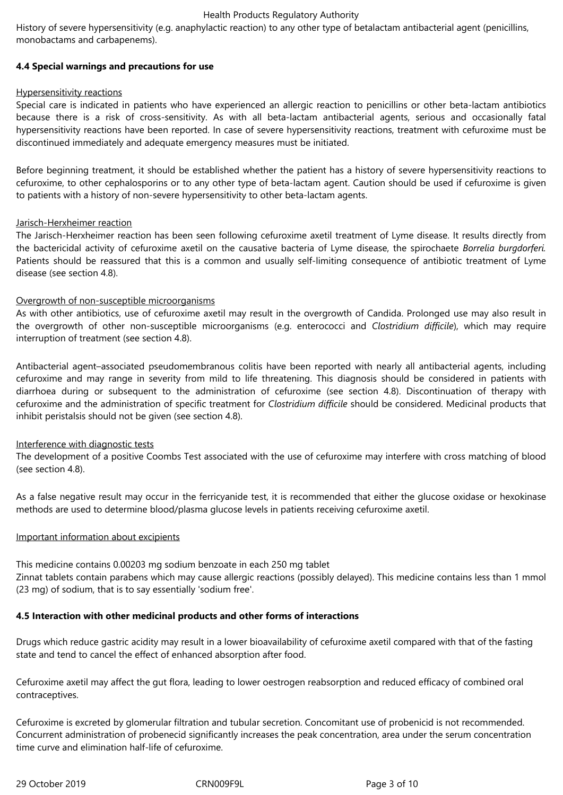History of severe hypersensitivity (e.g. anaphylactic reaction) to any other type of betalactam antibacterial agent (penicillins, monobactams and carbapenems).

## **4.4 Special warnings and precautions for use**

#### Hypersensitivity reactions

Special care is indicated in patients who have experienced an allergic reaction to penicillins or other beta-lactam antibiotics because there is a risk of cross-sensitivity. As with all beta-lactam antibacterial agents, serious and occasionally fatal hypersensitivity reactions have been reported. In case of severe hypersensitivity reactions, treatment with cefuroxime must be discontinued immediately and adequate emergency measures must be initiated.

Before beginning treatment, it should be established whether the patient has a history of severe hypersensitivity reactions to cefuroxime, to other cephalosporins or to any other type of beta-lactam agent. Caution should be used if cefuroxime is given to patients with a history of non-severe hypersensitivity to other beta-lactam agents.

# Jarisch-Herxheimer reaction

The Jarisch-Herxheimer reaction has been seen following cefuroxime axetil treatment of Lyme disease. It results directly from the bactericidal activity of cefuroxime axetil on the causative bacteria of Lyme disease, the spirochaete *Borrelia burgdorferi.* Patients should be reassured that this is a common and usually self-limiting consequence of antibiotic treatment of Lyme disease (see section 4.8).

## Overgrowth of non-susceptible microorganisms

As with other antibiotics, use of cefuroxime axetil may result in the overgrowth of Candida. Prolonged use may also result in the overgrowth of other non-susceptible microorganisms (e.g. enterococci and *Clostridium difficile*), which may require interruption of treatment (see section 4.8).

Antibacterial agent–associated pseudomembranous colitis have been reported with nearly all antibacterial agents, including cefuroxime and may range in severity from mild to life threatening. This diagnosis should be considered in patients with diarrhoea during or subsequent to the administration of cefuroxime (see section 4.8). Discontinuation of therapy with cefuroxime and the administration of specific treatment for *Clostridium difficile* should be considered. Medicinal products that inhibit peristalsis should not be given (see section 4.8).

# Interference with diagnostic tests

The development of a positive Coombs Test associated with the use of cefuroxime may interfere with cross matching of blood (see section 4.8).

As a false negative result may occur in the ferricyanide test, it is recommended that either the glucose oxidase or hexokinase methods are used to determine blood/plasma glucose levels in patients receiving cefuroxime axetil.

#### Important information about excipients

This medicine contains 0.00203 mg sodium benzoate in each 250 mg tablet

Zinnat tablets contain parabens which may cause allergic reactions (possibly delayed). This medicine contains less than 1 mmol (23 mg) of sodium, that is to say essentially 'sodium free'.

# **4.5 Interaction with other medicinal products and other forms of interactions**

Drugs which reduce gastric acidity may result in a lower bioavailability of cefuroxime axetil compared with that of the fasting state and tend to cancel the effect of enhanced absorption after food.

Cefuroxime axetil may affect the gut flora, leading to lower oestrogen reabsorption and reduced efficacy of combined oral contraceptives.

Cefuroxime is excreted by glomerular filtration and tubular secretion. Concomitant use of probenicid is not recommended. Concurrent administration of probenecid significantly increases the peak concentration, area under the serum concentration time curve and elimination half-life of cefuroxime.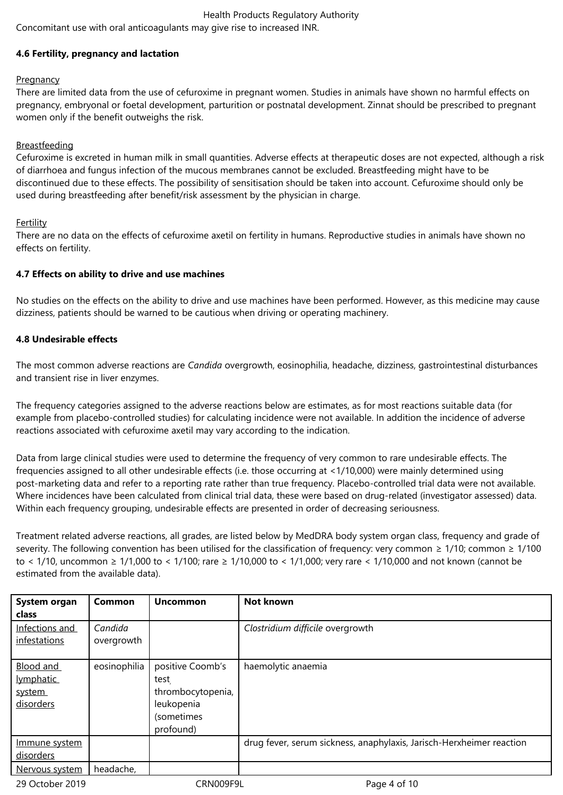Concomitant use with oral anticoagulants may give rise to increased INR.

# **4.6 Fertility, pregnancy and lactation**

# **Pregnancy**

There are limited data from the use of cefuroxime in pregnant women. Studies in animals have shown no harmful effects on pregnancy, embryonal or foetal development, parturition or postnatal development. Zinnat should be prescribed to pregnant women only if the benefit outweighs the risk.

# Breastfeeding

Cefuroxime is excreted in human milk in small quantities. Adverse effects at therapeutic doses are not expected, although a risk of diarrhoea and fungus infection of the mucous membranes cannot be excluded. Breastfeeding might have to be discontinued due to these effects. The possibility of sensitisation should be taken into account. Cefuroxime should only be used during breastfeeding after benefit/risk assessment by the physician in charge.

# Fertility

There are no data on the effects of cefuroxime axetil on fertility in humans. Reproductive studies in animals have shown no effects on fertility.

# **4.7 Effects on ability to drive and use machines**

No studies on the effects on the ability to drive and use machines have been performed. However, as this medicine may cause dizziness, patients should be warned to be cautious when driving or operating machinery.

# **4.8 Undesirable effects**

The most common adverse reactions are *Candida* overgrowth, eosinophilia, headache, dizziness, gastrointestinal disturbances and transient rise in liver enzymes.

The frequency categories assigned to the adverse reactions below are estimates, as for most reactions suitable data (for example from placebo-controlled studies) for calculating incidence were not available. In addition the incidence of adverse reactions associated with cefuroxime axetil may vary according to the indication.

Data from large clinical studies were used to determine the frequency of very common to rare undesirable effects. The frequencies assigned to all other undesirable effects (i.e. those occurring at <1/10,000) were mainly determined using post-marketing data and refer to a reporting rate rather than true frequency. Placebo-controlled trial data were not available. Where incidences have been calculated from clinical trial data, these were based on drug-related (investigator assessed) data. Within each frequency grouping, undesirable effects are presented in order of decreasing seriousness.

Treatment related adverse reactions, all grades, are listed below by MedDRA body system organ class, frequency and grade of severity. The following convention has been utilised for the classification of frequency: very common  $\geq 1/10$ ; common  $\geq 1/100$ to < 1/10, uncommon ≥ 1/1,000 to < 1/100; rare ≥ 1/10,000 to < 1/1,000; very rare < 1/10,000 and not known (cannot be estimated from the available data).

| System organ    | Common       | <b>Uncommon</b>   | Not known                                                            |
|-----------------|--------------|-------------------|----------------------------------------------------------------------|
| class           |              |                   |                                                                      |
| Infections and  | Candida      |                   | Clostridium difficile overgrowth                                     |
| infestations    | overgrowth   |                   |                                                                      |
|                 |              |                   |                                                                      |
| Blood and       | eosinophilia | positive Coomb's  | haemolytic anaemia                                                   |
| lymphatic       |              | test              |                                                                      |
| system          |              | thrombocytopenia, |                                                                      |
| disorders       |              | leukopenia        |                                                                      |
|                 |              | (sometimes        |                                                                      |
|                 |              | profound)         |                                                                      |
| Immune system   |              |                   | drug fever, serum sickness, anaphylaxis, Jarisch-Herxheimer reaction |
| disorders       |              |                   |                                                                      |
| Nervous system  | headache,    |                   |                                                                      |
| 29 October 2019 |              | CRN009F9L         | Page 4 of 10                                                         |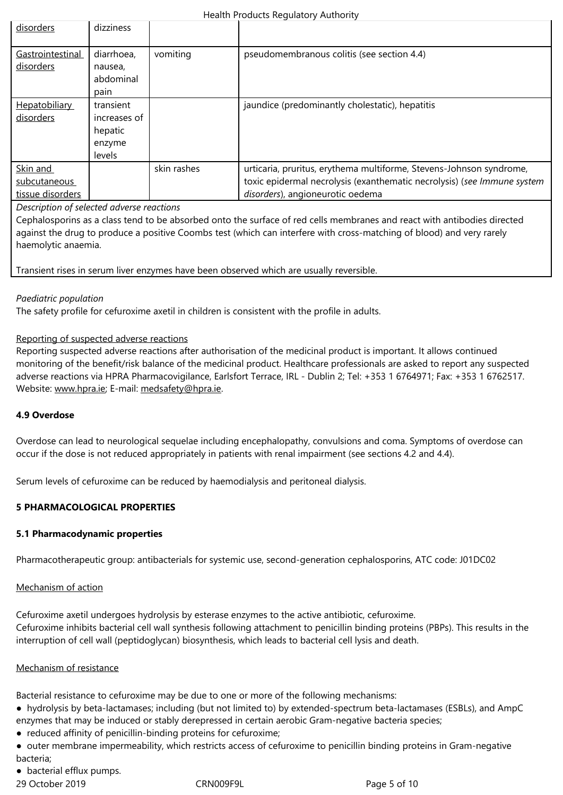| Gastrointestinal     | diarrhoea,   | vomiting    | pseudomembranous colitis (see section 4.4)                              |
|----------------------|--------------|-------------|-------------------------------------------------------------------------|
| disorders            | nausea,      |             |                                                                         |
|                      | abdominal    |             |                                                                         |
|                      | pain         |             |                                                                         |
| <b>Hepatobiliary</b> | transient    |             | jaundice (predominantly cholestatic), hepatitis                         |
| disorders            | increases of |             |                                                                         |
|                      | hepatic      |             |                                                                         |
|                      | enzyme       |             |                                                                         |
|                      | levels       |             |                                                                         |
| Skin and             |              | skin rashes | urticaria, pruritus, erythema multiforme, Stevens-Johnson syndrome,     |
| subcutaneous         |              |             | toxic epidermal necrolysis (exanthematic necrolysis) (see Immune system |
| tissue disorders     |              |             | disorders), angioneurotic oedema                                        |

## *Description of selected adverse reactions*

Cephalosporins as a class tend to be absorbed onto the surface of red cells membranes and react with antibodies directed against the drug to produce a positive Coombs test (which can interfere with cross-matching of blood) and very rarely haemolytic anaemia.

#### Transient rises in serum liver enzymes have been observed which are usually reversible.

## *Paediatric population*

The safety profile for cefuroxime axetil in children is consistent with the profile in adults.

## Reporting of suspected adverse reactions

Reporting suspected adverse reactions after authorisation of the medicinal product is important. It allows continued monitoring of the benefit/risk balance of the medicinal product. Healthcare professionals are asked to report any suspected adverse reactions via HPRA Pharmacovigilance, Earlsfort Terrace, IRL - Dublin 2; Tel: +353 1 6764971; Fax: +353 1 6762517. Website: www.hpra.ie; E-mail: medsafety@hpra.ie.

## **4.9 Overdose**

Overdos[e can lead to](http://www.hpra.ie/) neurolo[gical sequelae includ](mailto:medsafety@hpra.ie)ing encephalopathy, convulsions and coma. Symptoms of overdose can occur if the dose is not reduced appropriately in patients with renal impairment (see sections 4.2 and 4.4).

Serum levels of cefuroxime can be reduced by haemodialysis and peritoneal dialysis.

#### **5 PHARMACOLOGICAL PROPERTIES**

#### **5.1 Pharmacodynamic properties**

Pharmacotherapeutic group: antibacterials for systemic use, second-generation cephalosporins, ATC code: J01DC02

#### Mechanism of action

Cefuroxime axetil undergoes hydrolysis by esterase enzymes to the active antibiotic, cefuroxime. Cefuroxime inhibits bacterial cell wall synthesis following attachment to penicillin binding proteins (PBPs). This results in the interruption of cell wall (peptidoglycan) biosynthesis, which leads to bacterial cell lysis and death.

#### Mechanism of resistance

Bacterial resistance to cefuroxime may be due to one or more of the following mechanisms:

- hydrolysis by beta-lactamases; including (but not limited to) by extended-spectrum beta-lactamases (ESBLs), and AmpC enzymes that may be induced or stably derepressed in certain aerobic Gram-negative bacteria species;
- reduced affinity of penicillin-binding proteins for cefuroxime;

● outer membrane impermeability, which restricts access of cefuroxime to penicillin binding proteins in Gram-negative bacteria;

• bacterial efflux pumps.

29 October 2019 CRN009F9L Page 5 of 10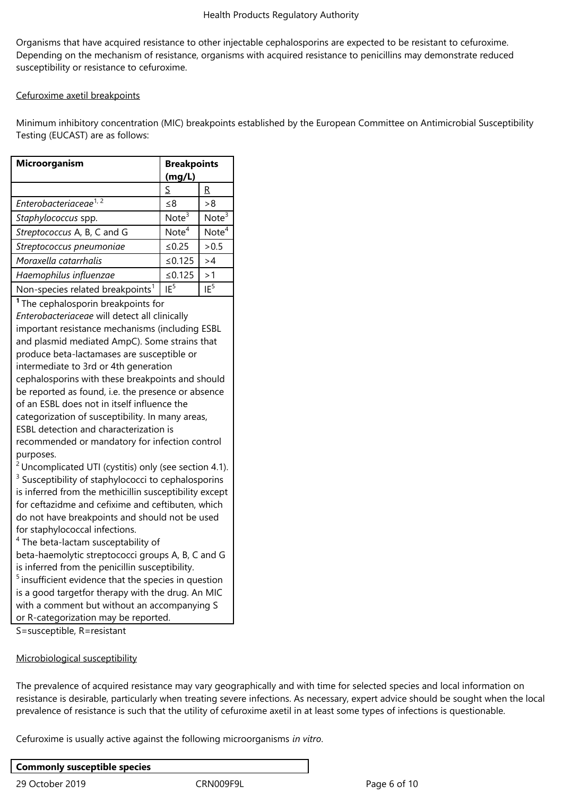Organisms that have acquired resistance to other injectable cephalosporins are expected to be resistant to cefuroxime. Depending on the mechanism of resistance, organisms with acquired resistance to penicillins may demonstrate reduced susceptibility or resistance to cefuroxime.

## Cefuroxime axetil breakpoints

Minimum inhibitory concentration (MIC) breakpoints established by the European Committee on Antimicrobial Susceptibility Testing (EUCAST) are as follows:

| Microorganism                                                                                                                                                                                                                                                                                                                                                                                                                                                                                                                                                                                                                                                                                                                                                                                                                                                                                                                                                                                                                                                                                                                                                                                                                                                                              | <b>Breakpoints</b><br>(mg/L) |                   |  |  |
|--------------------------------------------------------------------------------------------------------------------------------------------------------------------------------------------------------------------------------------------------------------------------------------------------------------------------------------------------------------------------------------------------------------------------------------------------------------------------------------------------------------------------------------------------------------------------------------------------------------------------------------------------------------------------------------------------------------------------------------------------------------------------------------------------------------------------------------------------------------------------------------------------------------------------------------------------------------------------------------------------------------------------------------------------------------------------------------------------------------------------------------------------------------------------------------------------------------------------------------------------------------------------------------------|------------------------------|-------------------|--|--|
|                                                                                                                                                                                                                                                                                                                                                                                                                                                                                                                                                                                                                                                                                                                                                                                                                                                                                                                                                                                                                                                                                                                                                                                                                                                                                            | S                            | R                 |  |  |
| Enterobacteriaceae <sup>1,2</sup>                                                                                                                                                                                                                                                                                                                                                                                                                                                                                                                                                                                                                                                                                                                                                                                                                                                                                                                                                                                                                                                                                                                                                                                                                                                          | $\leq 8$                     | >8                |  |  |
| Staphylococcus spp.                                                                                                                                                                                                                                                                                                                                                                                                                                                                                                                                                                                                                                                                                                                                                                                                                                                                                                                                                                                                                                                                                                                                                                                                                                                                        | Note $3$                     | Note $3$          |  |  |
| Streptococcus A, B, C and G                                                                                                                                                                                                                                                                                                                                                                                                                                                                                                                                                                                                                                                                                                                                                                                                                                                                                                                                                                                                                                                                                                                                                                                                                                                                | Note <sup>4</sup>            | Note <sup>4</sup> |  |  |
| Streptococcus pneumoniae                                                                                                                                                                                                                                                                                                                                                                                                                                                                                                                                                                                                                                                                                                                                                                                                                                                                                                                                                                                                                                                                                                                                                                                                                                                                   | $≤0.25$                      | > 0.5             |  |  |
| Moraxella catarrhalis                                                                                                                                                                                                                                                                                                                                                                                                                                                                                                                                                                                                                                                                                                                                                                                                                                                                                                                                                                                                                                                                                                                                                                                                                                                                      | ≤0.125                       | >4                |  |  |
| Haemophilus influenzae                                                                                                                                                                                                                                                                                                                                                                                                                                                                                                                                                                                                                                                                                                                                                                                                                                                                                                                                                                                                                                                                                                                                                                                                                                                                     | ≤ $0.125$                    | >1                |  |  |
| Non-species related breakpoints <sup>1</sup>                                                                                                                                                                                                                                                                                                                                                                                                                                                                                                                                                                                                                                                                                                                                                                                                                                                                                                                                                                                                                                                                                                                                                                                                                                               | IF <sup>5</sup>              | IF <sup>5</sup>   |  |  |
| <sup>1</sup> The cephalosporin breakpoints for<br>Enterobacteriaceae will detect all clinically<br>important resistance mechanisms (including ESBL<br>and plasmid mediated AmpC). Some strains that<br>produce beta-lactamases are susceptible or<br>intermediate to 3rd or 4th generation<br>cephalosporins with these breakpoints and should<br>be reported as found, i.e. the presence or absence<br>of an ESBL does not in itself influence the<br>categorization of susceptibility. In many areas,<br><b>ESBL</b> detection and characterization is<br>recommended or mandatory for infection control<br>purposes.<br>$2$ Uncomplicated UTI (cystitis) only (see section 4.1).<br><sup>3</sup> Susceptibility of staphylococci to cephalosporins<br>is inferred from the methicillin susceptibility except<br>for ceftazidme and cefixime and ceftibuten, which<br>do not have breakpoints and should not be used<br>for staphylococcal infections.<br><sup>4</sup> The beta-lactam susceptability of<br>beta-haemolytic streptococci groups A, B, C and G<br>is inferred from the penicillin susceptibility.<br><sup>5</sup> insufficient evidence that the species in question<br>is a good targetfor therapy with the drug. An MIC<br>with a comment but without an accompanying S |                              |                   |  |  |

S=susceptible, R=resistant

Microbiological susceptibility

The prevalence of acquired resistance may vary geographically and with time for selected species and local information on resistance is desirable, particularly when treating severe infections. As necessary, expert advice should be sought when the local prevalence of resistance is such that the utility of cefuroxime axetil in at least some types of infections is questionable.

Cefuroxime is usually active against the following microorganisms *in vitro*.

| <b>Commonly susceptible species</b> |           |
|-------------------------------------|-----------|
| 29 October 2019                     | CRN009F9L |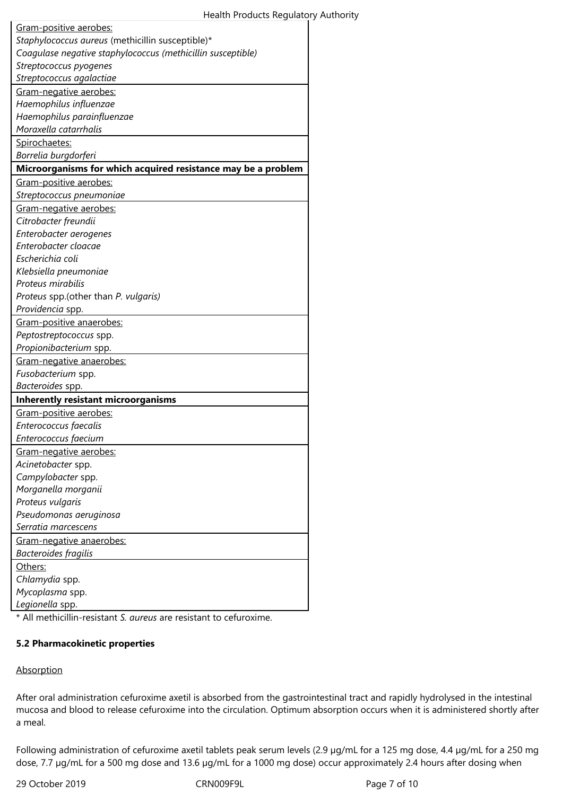\* All methicillin-resistant *S. aureus* are resistant to cefuroxime.

#### **5.2 Pharmacokinetic properties**

#### **Absorption**

After oral administration cefuroxime axetil is absorbed from the gastrointestinal tract and rapidly hydrolysed in the intestinal mucosa and blood to release cefuroxime into the circulation. Optimum absorption occurs when it is administered shortly after a meal.

Following administration of cefuroxime axetil tablets peak serum levels (2.9 µg/mL for a 125 mg dose, 4.4 µg/mL for a 250 mg dose, 7.7 µg/mL for a 500 mg dose and 13.6 µg/mL for a 1000 mg dose) occur approximately 2.4 hours after dosing when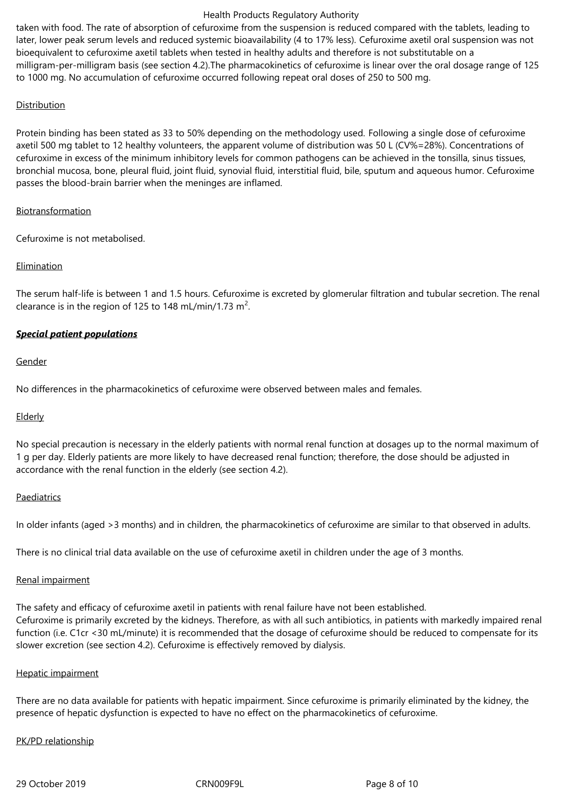taken with food. The rate of absorption of cefuroxime from the suspension is reduced compared with the tablets, leading to later, lower peak serum levels and reduced systemic bioavailability (4 to 17% less). Cefuroxime axetil oral suspension was not bioequivalent to cefuroxime axetil tablets when tested in healthy adults and therefore is not substitutable on a milligram-per-milligram basis (see section 4.2).The pharmacokinetics of cefuroxime is linear over the oral dosage range of 125 to 1000 mg. No accumulation of cefuroxime occurred following repeat oral doses of 250 to 500 mg.

# **Distribution**

Protein binding has been stated as 33 to 50% depending on the methodology used. Following a single dose of cefuroxime axetil 500 mg tablet to 12 healthy volunteers, the apparent volume of distribution was 50 L (CV%=28%). Concentrations of cefuroxime in excess of the minimum inhibitory levels for common pathogens can be achieved in the tonsilla, sinus tissues, bronchial mucosa, bone, pleural fluid, joint fluid, synovial fluid, interstitial fluid, bile, sputum and aqueous humor. Cefuroxime passes the blood-brain barrier when the meninges are inflamed.

## Biotransformation

Cefuroxime is not metabolised.

# Elimination

The serum half-life is between 1 and 1.5 hours. Cefuroxime is excreted by glomerular filtration and tubular secretion. The renal clearance is in the region of 125 to 148 mL/min/1.73 m<sup>2</sup>.

# *Special patient populations*

## Gender

No differences in the pharmacokinetics of cefuroxime were observed between males and females.

# **Elderly**

No special precaution is necessary in the elderly patients with normal renal function at dosages up to the normal maximum of 1 g per day. Elderly patients are more likely to have decreased renal function; therefore, the dose should be adjusted in accordance with the renal function in the elderly (see section 4.2).

#### Paediatrics

In older infants (aged >3 months) and in children, the pharmacokinetics of cefuroxime are similar to that observed in adults.

There is no clinical trial data available on the use of cefuroxime axetil in children under the age of 3 months.

#### Renal impairment

The safety and efficacy of cefuroxime axetil in patients with renal failure have not been established. Cefuroxime is primarily excreted by the kidneys. Therefore, as with all such antibiotics, in patients with markedly impaired renal function (i.e. C1cr <30 mL/minute) it is recommended that the dosage of cefuroxime should be reduced to compensate for its slower excretion (see section 4.2). Cefuroxime is effectively removed by dialysis.

#### Hepatic impairment

There are no data available for patients with hepatic impairment. Since cefuroxime is primarily eliminated by the kidney, the presence of hepatic dysfunction is expected to have no effect on the pharmacokinetics of cefuroxime.

# PK/PD relationship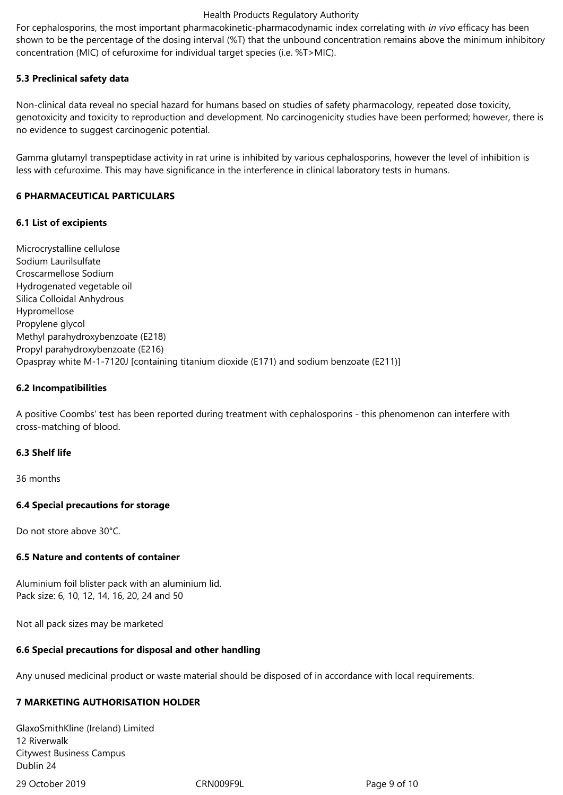For cephalosporins, the most important pharmacokinetic-pharmacodynamic index correlating with *in vivo* efficacy has been shown to be the percentage of the dosing interval (%T) that the unbound concentration remains above the minimum inhibitory concentration (MIC) of cefuroxime for individual target species (i.e. %T>MIC).

#### **5.3 Preclinical safety data**

Non-clinical data reveal no special hazard for humans based on studies of safety pharmacology, repeated dose toxicity, genotoxicity and toxicity to reproduction and development. No carcinogenicity studies have been performed; however, there is no evidence to suggest carcinogenic potential.

Gamma glutamyl transpeptidase activity in rat urine is inhibited by various cephalosporins, however the level of inhibition is less with cefuroxime. This may have significance in the interference in clinical laboratory tests in humans.

## **6 PHARMACEUTICAL PARTICULARS**

## **6.1 List of excipients**

Microcrystalline cellulose Sodium Laurilsulfate Croscarmellose Sodium Hydrogenated vegetable oil Silica Colloidal Anhydrous Hypromellose Propylene glycol Methyl parahydroxybenzoate (E218) Propyl parahydroxybenzoate (E216) Opaspray white M-1-7120J [containing titanium dioxide (E171) and sodium benzoate (E211)]

## **6.2 Incompatibilities**

A positive Coombs' test has been reported during treatment with cephalosporins - this phenomenon can interfere with cross-matching of blood.

#### **6.3 Shelf life**

36 months

#### **6.4 Special precautions for storage**

Do not store above 30°C.

# **6.5 Nature and contents of container**

Aluminium foil blister pack with an aluminium lid. Pack size: 6, 10, 12, 14, 16, 20, 24 and 50

Not all pack sizes may be marketed

# **6.6 Special precautions for disposal and other handling**

Any unused medicinal product or waste material should be disposed of in accordance with local requirements.

# **7 MARKETING AUTHORISATION HOLDER**

29 October 2019 CRN009F9L Page 9 of 10 GlaxoSmithKline (Ireland) Limited 12 Riverwalk Citywest Business Campus Dublin 24